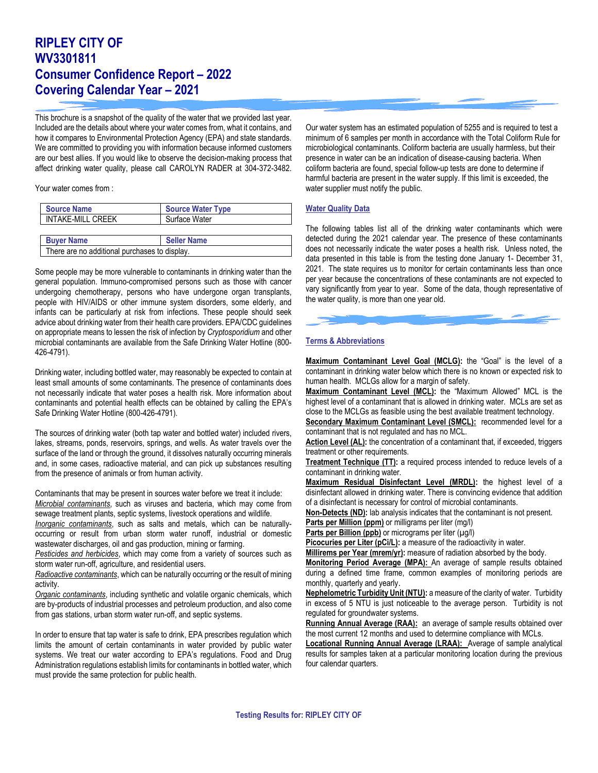## **RIPLEY CITY OF WV3301811 Consumer Confidence Report – 2022 Covering Calendar Year – 2021**

This brochure is a snapshot of the quality of the water that we provided last year. Included are the details about where your water comes from, what it contains, and how it compares to Environmental Protection Agency (EPA) and state standards. We are committed to providing you with information because informed customers are our best allies. If you would like to observe the decision-making process that affect drinking water quality, please call CAROLYN RADER at 304-372-3482.

Your water comes from :

| <b>Source Name</b>                            | <b>Source Water Type</b> |  |  |  |
|-----------------------------------------------|--------------------------|--|--|--|
| <b>INTAKE-MILL CREEK</b>                      | Surface Water            |  |  |  |
|                                               |                          |  |  |  |
| <b>Buver Name</b>                             | <b>Seller Name</b>       |  |  |  |
| There are no additional purchases to display. |                          |  |  |  |

Some people may be more vulnerable to contaminants in drinking water than the general population. Immuno-compromised persons such as those with cancer undergoing chemotherapy, persons who have undergone organ transplants, people with HIV/AIDS or other immune system disorders, some elderly, and infants can be particularly at risk from infections. These people should seek advice about drinking water from their health care providers. EPA/CDC guidelines on appropriate means to lessen the risk of infection by *Cryptosporidium* and other microbial contaminants are available from the Safe Drinking Water Hotline (800- 426-4791).

Drinking water, including bottled water, may reasonably be expected to contain at least small amounts of some contaminants. The presence of contaminants does not necessarily indicate that water poses a health risk. More information about contaminants and potential health effects can be obtained by calling the EPA's Safe Drinking Water Hotline (800-426-4791).

The sources of drinking water (both tap water and bottled water) included rivers, lakes, streams, ponds, reservoirs, springs, and wells. As water travels over the surface of the land or through the ground, it dissolves naturally occurring minerals and, in some cases, radioactive material, and can pick up substances resulting from the presence of animals or from human activity.

Contaminants that may be present in sources water before we treat it include: *Microbial contaminants*, such as viruses and bacteria, which may come from sewage treatment plants, septic systems, livestock operations and wildlife.

*Inorganic contaminants*, such as salts and metals, which can be naturallyoccurring or result from urban storm water runoff, industrial or domestic wastewater discharges, oil and gas production, mining or farming.

*Pesticides and herbicides*, which may come from a variety of sources such as storm water run-off, agriculture, and residential users.

*Radioactive contaminants*, which can be naturally occurring or the result of mining activity.

*Organic contaminants*, including synthetic and volatile organic chemicals, which are by-products of industrial processes and petroleum production, and also come from gas stations, urban storm water run-off, and septic systems.

In order to ensure that tap water is safe to drink, EPA prescribes regulation which limits the amount of certain contaminants in water provided by public water systems. We treat our water according to EPA's regulations. Food and Drug Administration regulations establish limits for contaminants in bottled water, which must provide the same protection for public health.

Our water system has an estimated population of 5255 and is required to test a minimum of 6 samples per month in accordance with the Total Coliform Rule for microbiological contaminants. Coliform bacteria are usually harmless, but their presence in water can be an indication of disease-causing bacteria. When coliform bacteria are found, special follow-up tests are done to determine if harmful bacteria are present in the water supply. If this limit is exceeded, the water supplier must notify the public.

## **Water Quality Data**

The following tables list all of the drinking water contaminants which were detected during the 2021 calendar year. The presence of these contaminants does not necessarily indicate the water poses a health risk. Unless noted, the data presented in this table is from the testing done January 1- December 31, 2021. The state requires us to monitor for certain contaminants less than once per year because the concentrations of these contaminants are not expected to vary significantly from year to year. Some of the data, though representative of the water quality, is more than one year old.

## **Terms & Abbreviations**

**Maximum Contaminant Level Goal (MCLG):** the "Goal" is the level of a contaminant in drinking water below which there is no known or expected risk to human health. MCLGs allow for a margin of safety.

**Maximum Contaminant Level (MCL):** the "Maximum Allowed" MCL is the highest level of a contaminant that is allowed in drinking water. MCLs are set as close to the MCLGs as feasible using the best available treatment technology.

**Secondary Maximum Contaminant Level (SMCL):** recommended level for a contaminant that is not regulated and has no MCL.

**Action Level (AL):** the concentration of a contaminant that, if exceeded, triggers treatment or other requirements.

**Treatment Technique (TT):** a required process intended to reduce levels of a contaminant in drinking water.

**Maximum Residual Disinfectant Level (MRDL):** the highest level of a disinfectant allowed in drinking water. There is convincing evidence that addition of a disinfectant is necessary for control of microbial contaminants.

**Non-Detects (ND):** lab analysis indicates that the contaminant is not present.

**Parts per Million (ppm)** or milligrams per liter (mg/l)

Parts per Billion (ppb) or micrograms per liter (µg/l)

Picocuries per Liter (pCi/L): a measure of the radioactivity in water.

**Millirems per Year (mrem/yr):** measure of radiation absorbed by the body.

**Monitoring Period Average (MPA):** An average of sample results obtained during a defined time frame, common examples of monitoring periods are monthly, quarterly and yearly.

**Nephelometric Turbidity Unit (NTU):** a measure of the clarity of water. Turbidity in excess of 5 NTU is just noticeable to the average person. Turbidity is not regulated for groundwater systems.

Running Annual Average (RAA): an average of sample results obtained over the most current 12 months and used to determine compliance with MCLs.

**Locational Running Annual Average (LRAA):** Average of sample analytical results for samples taken at a particular monitoring location during the previous four calendar quarters.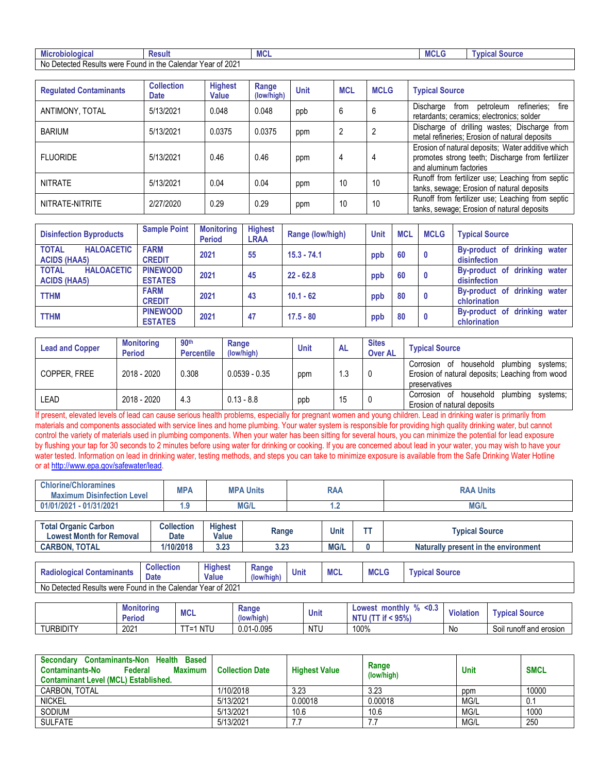| robiologica.<br>Micr                                                                                 | Result | <b>IVICL</b> | MUL | Source<br><b>VDICAL</b> |  |
|------------------------------------------------------------------------------------------------------|--------|--------------|-----|-------------------------|--|
| .0001<br>No<br><b>Results</b><br>Calendar Year of '<br>າ the<br>Jetected<br>were<br>Found<br>OT ZUZ. |        |              |     |                         |  |

| <b>Regulated Contaminants</b> | <b>Collection</b><br><b>Date</b> | <b>Highest</b><br><b>Value</b> | Range<br>(low/high) | <b>Unit</b> | <b>MCL</b> | <b>MCLG</b> | <b>Typical Source</b>                                                                                                           |
|-------------------------------|----------------------------------|--------------------------------|---------------------|-------------|------------|-------------|---------------------------------------------------------------------------------------------------------------------------------|
| ANTIMONY, TOTAL               | 5/13/2021                        | 0.048                          | 0.048               | ppb         | 6          | b           | refineries;<br>fire<br>Discharge<br>petroleum<br>from<br>retardants; ceramics; electronics; solder                              |
| <b>BARIUM</b>                 | 5/13/2021                        | 0.0375                         | 0.0375              | ppm         | 2          |             | Discharge of drilling wastes; Discharge from<br>metal refineries; Erosion of natural deposits                                   |
| <b>FLUORIDE</b>               | 5/13/2021                        | 0.46                           | 0.46                | ppm         | 4          | 4           | Erosion of natural deposits; Water additive which<br>promotes strong teeth; Discharge from fertilizer<br>and aluminum factories |
| <b>NITRATE</b>                | 5/13/2021                        | 0.04                           | 0.04                | ppm         | 10         | 10          | Runoff from fertilizer use; Leaching from septic<br>tanks, sewage; Erosion of natural deposits                                  |
| NITRATE-NITRITE               | 2/27/2020                        | 0.29                           | 0.29                | ppm         | 10         | 10          | Runoff from fertilizer use; Leaching from septic<br>tanks, sewage; Erosion of natural deposits                                  |

| <b>Disinfection Byproducts</b>                           | <b>Sample Point</b>               | <b>Monitoring</b><br><b>Period</b> | <b>Highest</b><br><b>LRAA</b> | Range (low/high) | <b>Unit</b> | <b>MCL</b> | <b>MCLG</b>  | <b>Typical Source</b>                           |
|----------------------------------------------------------|-----------------------------------|------------------------------------|-------------------------------|------------------|-------------|------------|--------------|-------------------------------------------------|
| <b>TOTAL</b><br><b>HALOACETIC</b><br><b>ACIDS (HAA5)</b> | <b>FARM</b><br><b>CREDIT</b>      | 2021                               | 55                            | $15.3 - 74.1$    | ppb         | 60         | $\mathbf{0}$ | By-product of drinking water<br>disinfection    |
| <b>TOTAL</b><br><b>HALOACETIC</b><br><b>ACIDS (HAA5)</b> | <b>PINEWOOD</b><br><b>ESTATES</b> | 2021                               | 45                            | $22 - 62.8$      | ppb         | 60         | $\mathbf{0}$ | By-product of drinking water<br>disinfection    |
| <b>TTHM</b>                                              | <b>FARM</b><br><b>CREDIT</b>      | 2021                               | 43                            | $10.1 - 62$      | ppb         | 80         | $\mathbf{0}$ | By-product of drinking water<br>chlorination    |
| <b>TTHM</b>                                              | <b>PINEWOOD</b><br><b>ESTATES</b> | 2021                               | 47                            | $17.5 - 80$      | ppb         | 80         | $\mathbf 0$  | drinking water<br>By-product of<br>chlorination |

| <b>Lead and Copper</b> | <b>Monitoring</b><br><b>Period</b> | 90 <sup>th</sup><br><b>Percentile</b> | Range<br>(low/high) | Unit | <b>AL</b> | <b>Sites</b><br><b>Over AL</b> | <b>Typical Source</b>                                                                                                 |
|------------------------|------------------------------------|---------------------------------------|---------------------|------|-----------|--------------------------------|-----------------------------------------------------------------------------------------------------------------------|
| COPPER. FREE           | 2018 - 2020                        | 0.308                                 | $0.0539 - 0.35$     | ppm  | 1.3       |                                | household<br>plumbina<br>svstems:<br>Corrosion of<br>Erosion of natural deposits; Leaching from wood<br>preservatives |
| LEAD                   | 2018 - 2020                        | 4.3                                   | $0.13 - 8.8$        | ppb  | 15        |                                | household<br>plumbing<br>systems:<br>Corrosion of<br>Erosion of natural deposits                                      |

If present, elevated levels of lead can cause serious health problems, especially for pregnant women and young children. Lead in drinking water is primarily from materials and components associated with service lines and home plumbing. Your water system is responsible for providing high quality drinking water, but cannot control the variety of materials used in plumbing components. When your water has been sitting for several hours, you can minimize the potential for lead exposure by flushing your tap for 30 seconds to 2 minutes before using water for drinking or cooking. If you are concerned about lead in your water, you may wish to have your water tested. Information on lead in drinking water, testing methods, and steps you can take to minimize exposure is available from the Safe Drinking Water Hotline or at [http://www.epa.gov/safewater/lead.](http://www.epa.gov/safewater/lead)

| <b>Chlorine/Chloramines</b><br>----<br><b>Maximum Disinfection Level</b> | <b>MPA</b> | <b>MPA Units</b> | RAA | <b>Units</b><br>RAA |
|--------------------------------------------------------------------------|------------|------------------|-----|---------------------|
| $-01/31/2021$<br>01/01/2021                                              | .          | <b>MG/L</b>      | . . | <b>MG/L</b>         |

| <b>Total Organic Carbon</b><br><b>Lowest Month for Removal</b> | Collection<br>Date | <b>Highest</b><br><b>Value</b> | Range       | Unit        | --- | <b>Typical Source</b>                |
|----------------------------------------------------------------|--------------------|--------------------------------|-------------|-------------|-----|--------------------------------------|
| <b>TOTAL</b><br><b>CARBON.</b>                                 | 1/10/2018          | מח מ<br>ง.∠ง                   | າາາ<br>J.ZJ | <b>MG/L</b> |     | Naturally present in the environment |

| <b>Radiological Contaminants</b>                                  | <b>Collection</b><br><b>Date</b> | <b>Highest</b><br><b>Value</b> | Range<br>(low/high) | Unit | <b>MCL</b> | <b>MCLG</b> | <b>Typical Source</b> |
|-------------------------------------------------------------------|----------------------------------|--------------------------------|---------------------|------|------------|-------------|-----------------------|
| p Detected Results were Found in the Calendar Year of 2021<br>No. |                                  |                                |                     |      |            |             |                       |

|                  | Monitoring<br>Period | <b>MCL</b>                                           | Range<br>(low/high)  | Unit       | ه ه<br>$\cdot$ monthly $\cdot$<br>Lowest<br>≤∪.ა<br>< 95%<br><b>NTU (T</b><br>-IT | $\mathbf{R}$<br>Violation | <b>Typical Source</b>        |
|------------------|----------------------|------------------------------------------------------|----------------------|------------|-----------------------------------------------------------------------------------|---------------------------|------------------------------|
| <b>TURBIDITY</b> | 2021                 | <b>NTU</b><br>$-$<br>$\overline{\phantom{0}}$<br>. . | $-0.095$<br>$0.01 -$ | <b>NTU</b> | 100%                                                                              | No                        | Soil<br>l runoff and erosion |

| <b>Contaminants-Non</b><br>Health<br><b>Based</b><br>Secondary<br>Contaminants-No<br>Federal<br><b>Maximum</b><br><b>Contaminant Level (MCL) Established.</b> | <b>Collection Date</b> | <b>Highest Value</b> | Range<br>(low/high) | <b>Unit</b> | <b>SMCL</b> |
|---------------------------------------------------------------------------------------------------------------------------------------------------------------|------------------------|----------------------|---------------------|-------------|-------------|
| CARBON, TOTAL                                                                                                                                                 | 1/10/2018              | 3.23                 | 3.23                | ppm         | 10000       |
| <b>NICKEL</b>                                                                                                                                                 | 5/13/2021              | 0.00018              | 0.00018             | MG/L        | 0.1         |
| SODIUM                                                                                                                                                        | 5/13/2021              | 10.6                 | 10.6                | MG/L        | 1000        |
| <b>SULFATE</b>                                                                                                                                                | 5/13/2021              | 77<br>.              |                     | MG/L        | 250         |